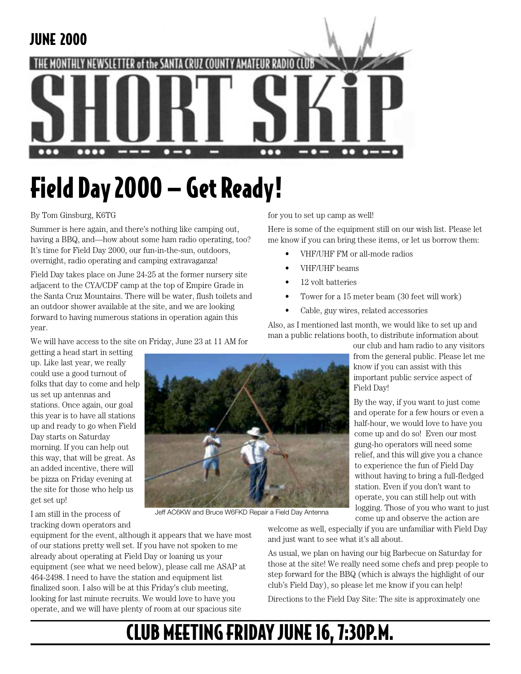

# Field Day 2000 — Get Ready!

#### By Tom Ginsburg, K6TG

Summer is here again, and there's nothing like camping out, having a BBQ, and—how about some ham radio operating, too? It's time for Field Day 2000, our fun-in-the-sun, outdoors, overnight, radio operating and camping extravaganza!

Field Day takes place on June 24-25 at the former nursery site adjacent to the CYA/CDF camp at the top of Empire Grade in the Santa Cruz Mountains. There will be water, flush toilets and an outdoor shower available at the site, and we are looking forward to having numerous stations in operation again this year.

We will have access to the site on Friday, June 23 at 11 AM for

getting a head start in setting up. Like last year, we really could use a good turnout of folks that day to come and help us set up antennas and stations. Once again, our goal this year is to have all stations up and ready to go when Field Day starts on Saturday morning. If you can help out this way, that will be great. As an added incentive, there will be pizza on Friday evening at the site for those who help us get set up!

Jeff AC6KW and Bruce W6FKD Repair a Field Day Antenna

for you to set up camp as well!

Here is some of the equipment still on our wish list. Please let me know if you can bring these items, or let us borrow them:

- VHF/UHF FM or all-mode radios
- VHF/UHF beams
- 12 volt batteries
- Tower for a 15 meter beam (30 feet will work)
- Cable, guy wires, related accessories

Also, as I mentioned last month, we would like to set up and man a public relations booth, to distribute information about

our club and ham radio to any visitors from the general public. Please let me know if you can assist with this important public service aspect of Field Day!

By the way, if you want to just come and operate for a few hours or even a half-hour, we would love to have you come up and do so! Even our most gung-ho operators will need some relief, and this will give you a chance to experience the fun of Field Day without having to bring a full-fledged station. Even if you don't want to operate, you can still help out with logging. Those of you who want to just come up and observe the action are

I am still in the process of tracking down operators and

equipment for the event, although it appears that we have most of our stations pretty well set. If you have not spoken to me already about operating at Field Day or loaning us your equipment (see what we need below), please call me ASAP at 464-2498. I need to have the station and equipment list finalized soon. I also will be at this Friday's club meeting, looking for last minute recruits. We would love to have you operate, and we will have plenty of room at our spacious site

welcome as well, especially if you are unfamiliar with Field Day and just want to see what it's all about.

As usual, we plan on having our big Barbecue on Saturday for those at the site! We really need some chefs and prep people to step forward for the BBQ (which is always the highlight of our club's Field Day), so please let me know if you can help!

Directions to the Field Day Site: The site is approximately one

# CLUB MEETING FRIDAY JUNE 16, 7:30P.M.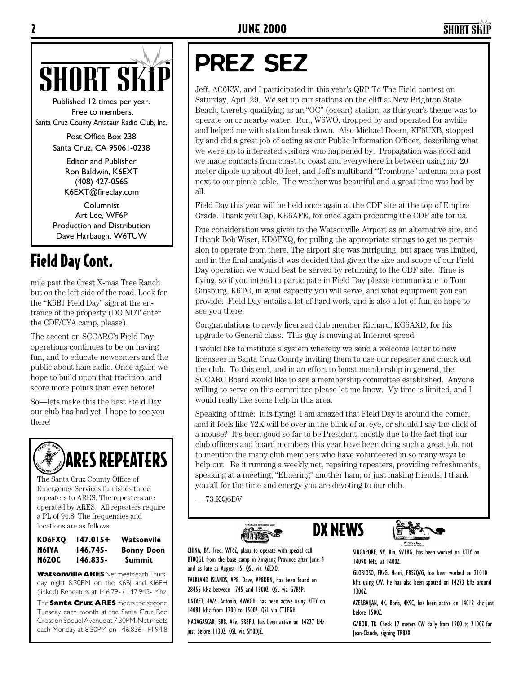

Published 12 times per year. Free to members. Santa Cruz County Amateur Radio Club, Inc.

> Post Office Box 238 Santa Cruz, CA 95061-0238

> > Editor and Publisher Ron Baldwin, K6EXT (408) 427-0565 K6EXT@fireclay.com

Columnist Art Lee, WF6P Production and Distribution Dave Harbaugh, W6TUW

## Field Day Cont.

mile past the Crest X-mas Tree Ranch but on the left side of the road. Look for the "K6BJ Field Day" sign at the entrance of the property (DO NOT enter the CDF/CYA camp, please).

The accent on SCCARC's Field Day operations continues to be on having fun, and to educate newcomers and the public about ham radio. Once again, we hope to build upon that tradition, and score more points than ever before!

So—lets make this the best Field Day our club has had yet! I hope to see you there!



The Santa Cruz County Office of Emergency Services furnishes three repeaters to ARES. The repeaters are operated by ARES. All repeaters require a PL of 94.8. The frequencies and locations are as follows:

#### **KD6FXQ 147.015+ Watsonvile N6IYA 146.745- Bonny Doon N6ZOC 146.835- Summit**

**Watsonville ARES** Net meets each Thursday night 8:30PM on the K6BJ and KI6EH (linked) Repeaters at 146.79- / 147.945- Mhz.

The **Santa Cruz ARES** meets the second Tuesday each month at the Santa Cruz Red Cross on Soquel Avenue at 7:30PM. Net meets each Monday at 8:30PM on 146.836 - Pl 94.8

# PREZ SEZ

Jeff, AC6KW, and I participated in this year's QRP To The Field contest on Saturday, April 29. We set up our stations on the cliff at New Brighton State Beach, thereby qualifying as an "OC" (ocean) station, as this year's theme was to operate on or nearby water. Ron, W6WO, dropped by and operated for awhile and helped me with station break down. Also Michael Doern, KF6UXB, stopped by and did a great job of acting as our Public Information Officer, describing what we were up to interested visitors who happened by. Propagation was good and we made contacts from coast to coast and everywhere in between using my 20 meter dipole up about 40 feet, and Jeff's multiband "Trombone" antenna on a post next to our picnic table. The weather was beautiful and a great time was had by all.

Field Day this year will be held once again at the CDF site at the top of Empire Grade. Thank you Cap, KE6AFE, for once again procuring the CDF site for us.

Due consideration was given to the Watsonville Airport as an alternative site, and I thank Bob Wiser, KD6FXQ, for pulling the appropriate strings to get us permission to operate from there. The airport site was intriguing, but space was limited, and in the final analysis it was decided that given the size and scope of our Field Day operation we would best be served by returning to the CDF site. Time is flying, so if you intend to participate in Field Day please communicate to Tom Ginsburg, K6TG, in what capacity you will serve, and what equipment you can provide. Field Day entails a lot of hard work, and is also a lot of fun, so hope to see you there!

Congratulations to newly licensed club member Richard, KG6AXD, for his upgrade to General class. This guy is moving at Internet speed!

I would like to institute a system whereby we send a welcome letter to new licensees in Santa Cruz County inviting them to use our repeater and check out the club. To this end, and in an effort to boost membership in general, the SCCARC Board would like to see a membership committee established. Anyone willing to serve on this committee please let me know. My time is limited, and I would really like some help in this area.

Speaking of time: it is flying! I am amazed that Field Day is around the corner, and it feels like Y2K will be over in the blink of an eye, or should I say the click of a mouse? It's been good so far to be President, mostly due to the fact that our club officers and board members this year have been doing such a great job, not to mention the many club members who have volunteered in so many ways to help out. Be it running a weekly net, repairing repeaters, providing refreshments, speaking at a meeting, "Elmering" another ham, or just making friends, I thank you all for the time and energy you are devoting to our club.

DX NEWS

 $-73,$ KQ6DV



CHINA, BY. Fred, WF6Z, plans to operate with special call BT0QGL from the base camp in Xingiang Province after June 4 and as late as August 15. QSL via K6EXO.

FALKLAND ISLANDS, VP8. Dave, VP8DBN, has been found on 28455 kHz between 1745 and 1900Z. QSL via G7BSP.

UNTAET, 4W6. Antonio, 4W6GH, has been active using RTTY on 14081 kHz from 1200 to 1500Z. QSL via CT1EGH.

MADAGASCAR, 5R8. Ake, 5R8FU, has been active on 14227 kHz just before 1130Z. QSL via SM0DJZ.



SINGAPORE, 9V. Rin, 9V1BG, has been worked on RTTY on 14090 kHz, at 1400Z.

GLORIOSO, FR/G. Henri, FR5ZQ/G, has been worked on 21010 kHz using CW. He has also been spotted on 14273 kHz around 1300Z.

AZERBAIJAN, 4K. Boris, 4K9C, has been active on 14012 kHz just before 1500Z.

GABON, TR. Check 17 meters CW daily from 1900 to 2100Z for Jean-Claude, signing TR8XX.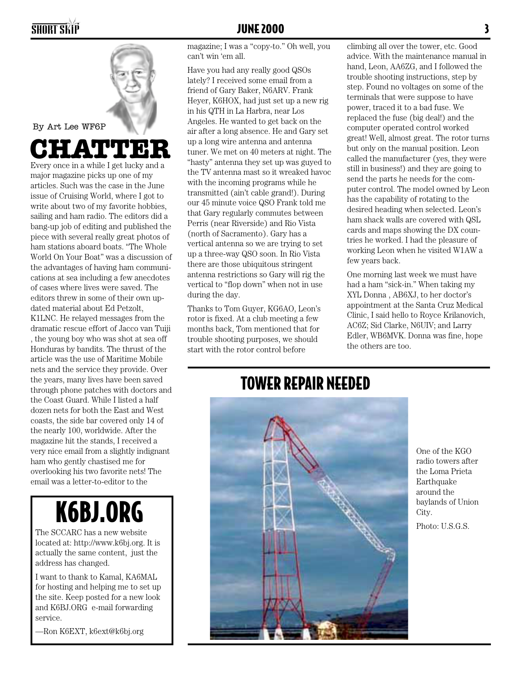

By Art Lee WF6P

# **CHATTER**

Every once in a while I get lucky and a major magazine picks up one of my articles. Such was the case in the June issue of Cruising World, where I got to write about two of my favorite hobbies, sailing and ham radio. The editors did a bang-up job of editing and published the piece with several really great photos of ham stations aboard boats. "The Whole World On Your Boat" was a discussion of the advantages of having ham communications at sea including a few anecdotes of cases where lives were saved. The editors threw in some of their own updated material about Ed Petzolt, K1LNC. He relayed messages from the dramatic rescue effort of Jacco van Tuiji , the young boy who was shot at sea off Honduras by bandits. The thrust of the article was the use of Maritime Mobile nets and the service they provide. Over the years, many lives have been saved through phone patches with doctors and the Coast Guard. While I listed a half dozen nets for both the East and West coasts, the side bar covered only 14 of the nearly 100, worldwide. After the magazine hit the stands, I received a very nice email from a slightly indignant ham who gently chastised me for overlooking his two favorite nets! The email was a letter-to-editor to the

# K6BJ.ORG

The SCCARC has a new website located at: http://www.k6bj.org. It is actually the same content, just the address has changed.

I want to thank to Kamal, KA6MAL for hosting and helping me to set up the site. Keep posted for a new look and K6BJ.ORG e-mail forwarding service.

—Ron K6EXT, k6ext@k6bj.org

magazine; I was a "copy-to." Oh well, you can't win 'em all.

Have you had any really good QSOs lately? I received some email from a friend of Gary Baker, N6ARV. Frank Heyer, K6HOX, had just set up a new rig in his QTH in La Harbra, near Los Angeles. He wanted to get back on the air after a long absence. He and Gary set up a long wire antenna and antenna tuner. We met on 40 meters at night. The "hasty" antenna they set up was guyed to the TV antenna mast so it wreaked havoc with the incoming programs while he transmitted (ain't cable grand!). During our 45 minute voice QSO Frank told me that Gary regularly commutes between Perris (near Riverside) and Rio Vista (north of Sacramento). Gary has a vertical antenna so we are trying to set up a three-way QSO soon. In Rio Vista there are those ubiquitous stringent antenna restrictions so Gary will rig the vertical to "flop down" when not in use during the day.

Thanks to Tom Guyer, KG6AO, Leon's rotor is fixed. At a club meeting a few months back, Tom mentioned that for trouble shooting purposes, we should start with the rotor control before

climbing all over the tower, etc. Good advice. With the maintenance manual in hand, Leon, AA6ZG, and I followed the trouble shooting instructions, step by step. Found no voltages on some of the terminals that were suppose to have power, traced it to a bad fuse. We replaced the fuse (big deal!) and the computer operated control worked great! Well, almost great. The rotor turns but only on the manual position. Leon called the manufacturer (yes, they were still in business!) and they are going to send the parts he needs for the computer control. The model owned by Leon has the capability of rotating to the desired heading when selected. Leon's ham shack walls are covered with QSL cards and maps showing the DX countries he worked. I had the pleasure of working Leon when he visited W1AW a few years back.

One morning last week we must have had a ham "sick-in." When taking my XYL Donna , AB6XJ, to her doctor's appointment at the Santa Cruz Medical Clinic, I said hello to Royce Krilanovich, AC6Z; Sid Clarke, N6UIV; and Larry Edler, WB6MVK. Donna was fine, hope the others are too.



One of the KGO radio towers after the Loma Prieta Earthquake around the baylands of Union City.

Photo: U.S.G.S.